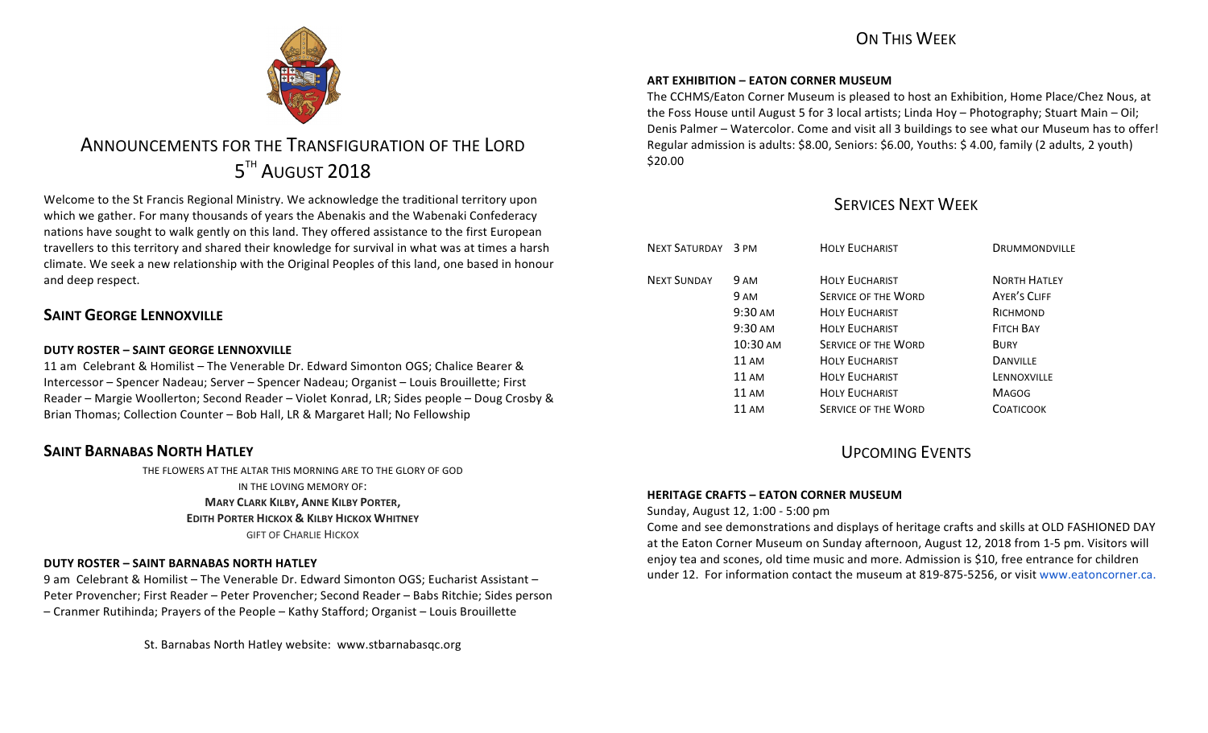### ON THIS WFFK



# ANNOUNCEMENTS FOR THE TRANSFIGURATION OF THE LORD  $5<sup>TH</sup>$  August 2018

Welcome to the St Francis Regional Ministry. We acknowledge the traditional territory upon which we gather. For many thousands of years the Abenakis and the Wabenaki Confederacy nations have sought to walk gently on this land. They offered assistance to the first European travellers to this territory and shared their knowledge for survival in what was at times a harsh climate. We seek a new relationship with the Original Peoples of this land, one based in honour and deep respect.

### **SAINT GEORGE LENNOXVILLE**

### **DUTY ROSTER – SAINT GEORGE LENNOXVILLE**

11 am Celebrant & Homilist – The Venerable Dr. Edward Simonton OGS: Chalice Bearer & Intercessor – Spencer Nadeau; Server – Spencer Nadeau; Organist – Louis Brouillette; First Reader – Margie Woollerton; Second Reader – Violet Konrad, LR; Sides people – Doug Crosby & Brian Thomas; Collection Counter - Bob Hall, LR & Margaret Hall; No Fellowship

### **SAINT BARNABAS NORTH HATLEY**

THE FLOWERS AT THE ALTAR THIS MORNING ARE TO THE GLORY OF GOD IN THE LOVING MEMORY OF: **MARY CLARK KILBY, ANNE KILBY PORTER, EDITH PORTER HICKOX & KILBY HICKOX WHITNEY GIFT OF CHARLIE HICKOX** 

### **DUTY ROSTER – SAINT BARNABAS NORTH HATLEY**

9 am Celebrant & Homilist – The Venerable Dr. Edward Simonton OGS: Eucharist Assistant – Peter Provencher; First Reader – Peter Provencher; Second Reader – Babs Ritchie; Sides person – Cranmer Rutihinda; Prayers of the People – Kathy Stafford; Organist – Louis Brouillette

St. Barnabas North Hatley website: www.stbarnabasqc.org

### **ART EXHIBITION – EATON CORNER MUSEUM**

The CCHMS/Eaton Corner Museum is pleased to host an Exhibition, Home Place/Chez Nous, at the Foss House until August 5 for 3 local artists; Linda Hoy – Photography; Stuart Main – Oil; Denis Palmer – Watercolor. Come and visit all 3 buildings to see what our Museum has to offer! Regular admission is adults: \$8.00, Seniors: \$6.00, Youths: \$ 4.00, family (2 adults, 2 youth) \$20.00

### SERVICES NEXT WEEK

| NEXT SATURDAY 3 PM |                   | <b>HOLY EUCHARIST</b>      | <b>DRUMMONDVILLE</b> |
|--------------------|-------------------|----------------------------|----------------------|
| <b>NEXT SUNDAY</b> | 9 AM              | <b>HOLY EUCHARIST</b>      | <b>NORTH HATLEY</b>  |
|                    | 9 AM              | <b>SERVICE OF THE WORD</b> | <b>AYER'S CLIFF</b>  |
|                    | $9:30 \text{ AM}$ | <b>HOLY EUCHARIST</b>      | RICHMOND             |
|                    | $9:30$ AM         | <b>HOLY FUCHARIST</b>      | <b>FITCH BAY</b>     |
|                    | 10:30 AM          | <b>SERVICE OF THE WORD</b> | BURY                 |
|                    | 11 AM             | <b>HOLY FUCHARIST</b>      | <b>DANVILLE</b>      |
|                    | 11 AM             | <b>HOLY FUCHARIST</b>      | LENNOXVILLE          |
|                    | <b>11 AM</b>      | <b>HOLY EUCHARIST</b>      | <b>MAGOG</b>         |
|                    | 11 AM             | <b>SERVICE OF THE WORD</b> | COATICOOK            |
|                    |                   |                            |                      |

## UPCOMING EVENTS

### **HERITAGE CRAFTS – EATON CORNER MUSEUM**

Sunday, August 12, 1:00 - 5:00 pm

Come and see demonstrations and displays of heritage crafts and skills at OLD FASHIONED DAY at the Eaton Corner Museum on Sunday afternoon, August 12, 2018 from 1-5 pm. Visitors will enjoy tea and scones, old time music and more. Admission is \$10, free entrance for children under 12. For information contact the museum at 819-875-5256, or visit www.eatoncorner.ca.